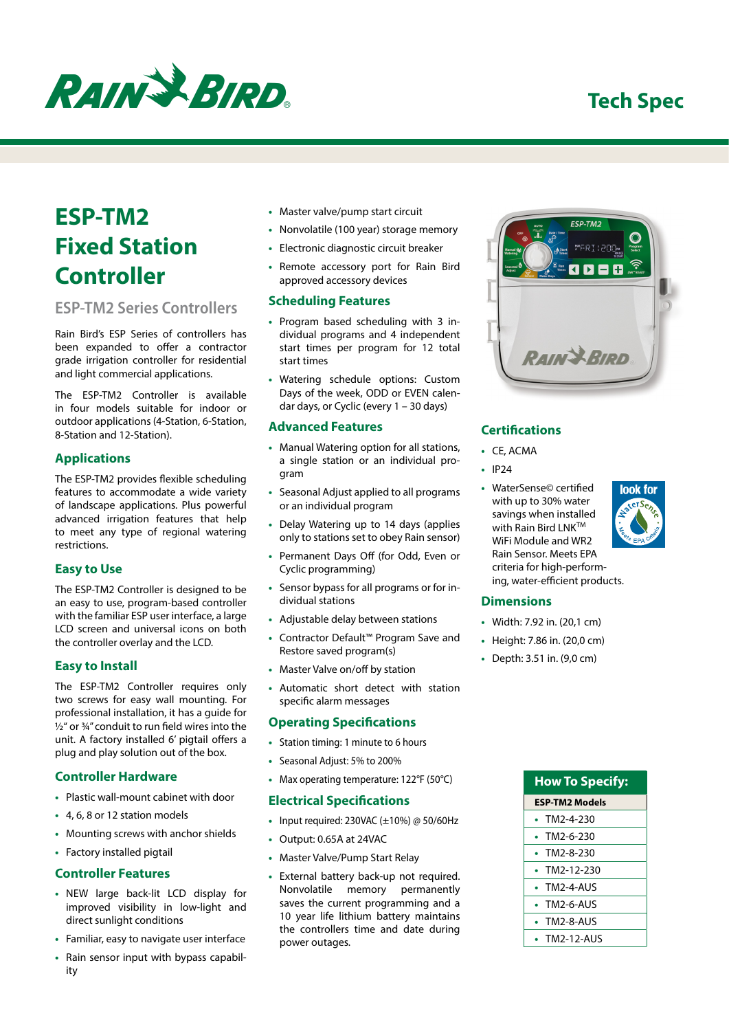

# **ESP-TM2 Fixed Station Controller**

## **ESP-TM2 Series Controllers**

Rain Bird's ESP Series of controllers has been expanded to offer a contractor grade irrigation controller for residential and light commercial applications.

The ESP-TM2 Controller is available in four models suitable for indoor or outdoor applications (4-Station, 6-Station, 8-Station and 12-Station).

#### **Applications**

The ESP-TM2 provides flexible scheduling features to accommodate a wide variety of landscape applications. Plus powerful advanced irrigation features that help to meet any type of regional watering restrictions.

#### **Easy to Use**

The ESP-TM2 Controller is designed to be an easy to use, program-based controller with the familiar ESP user interface, a large LCD screen and universal icons on both the controller overlay and the LCD.

#### **Easy to Install**

The ESP-TM2 Controller requires only two screws for easy wall mounting. For professional installation, it has a guide for ½" or ¾" conduit to run field wires into the unit. A factory installed 6' pigtail offers a plug and play solution out of the box.

#### **Controller Hardware**

- **•** Plastic wall-mount cabinet with door
- **•** 4, 6, 8 or 12 station models
- **•** Mounting screws with anchor shields
- **•** Factory installed pigtail

#### **Controller Features**

- **•** NEW large back-lit LCD display for improved visibility in low-light and direct sunlight conditions
- **•** Familiar, easy to navigate user interface
- **•** Rain sensor input with bypass capability
- **•** Master valve/pump start circuit
- **•** Nonvolatile (100 year) storage memory
- **•** Electronic diagnostic circuit breaker
- **•** Remote accessory port for Rain Bird approved accessory devices

#### **Scheduling Features**

- **•** Program based scheduling with 3 individual programs and 4 independent start times per program for 12 total start times
- **•** Watering schedule options: Custom Days of the week, ODD or EVEN calendar days, or Cyclic (every 1 – 30 days)

#### **Advanced Features**

- **•** Manual Watering option for all stations, a single station or an individual program
- **•** Seasonal Adjust applied to all programs or an individual program
- **•** Delay Watering up to 14 days (applies only to stations set to obey Rain sensor)
- **•** Permanent Days Off (for Odd, Even or Cyclic programming)
- **•** Sensor bypass for all programs or for individual stations
- **•** Adjustable delay between stations
- **•** Contractor Default™ Program Save and Restore saved program(s)
- **•** Master Valve on/off by station
- **•** Automatic short detect with station specific alarm messages

#### **Operating Specifications**

- **•** Station timing: 1 minute to 6 hours
- **•** Seasonal Adjust: 5% to 200%
- **•** Max operating temperature: 122°F (50°C)

#### **Electrical Specifications**

- **•** Input required: 230VAC (±10%) @ 50/60Hz
- **•** Output: 0.65A at 24VAC
- **•** Master Valve/Pump Start Relay
- **•** External battery back-up not required. Nonvolatile memory permanently saves the current programming and a 10 year life lithium battery maintains the controllers time and date during power outages.



#### **Certifications**

- **•** CE, ACMA
- **•** IP24
- **•** WaterSense© certified with up to 30% water savings when installed with Rain Bird LNK<sup>™</sup> WiFi Module and WR2 Rain Sensor. Meets EPA criteria for high-performing, water-efficient products.



#### **Dimensions**

- **•** Width: 7.92 in. (20,1 cm)
- **•** Height: 7.86 in. (20,0 cm)
- **•** Depth: 3.51 in. (9,0 cm)

| <b>How To Specify:</b> |
|------------------------|
| ESP-TM2 Models         |
| TM2-4-230              |
| TM2-6-230              |
| TM2-8-230              |
| TM2-12-230             |
| <b>TM2-4-AUS</b>       |
| <b>TM2-6-AUS</b>       |
| <b>TM2-8-AUS</b>       |
| TM2-12-AUS             |